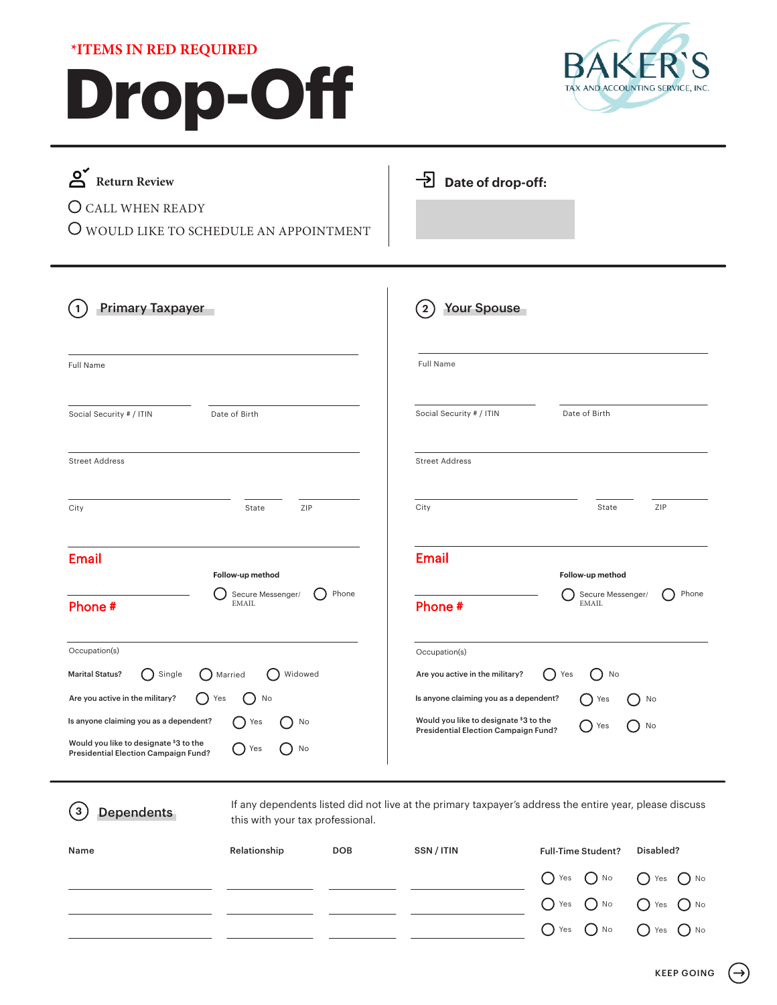# **Drop-Off \*ITEMS IN RED REQUIRED**



| <u>ଁ</u><br><b>Return Review</b><br><b>CALL WHEN READY</b><br>( )<br>O WOULD LIKE TO SCHEDULE AN APPOINTMENT                                                                                                                                                                        | $\overline{\mathrm{B}}$ Date of drop-off:                                                                                                                                                                                                |
|-------------------------------------------------------------------------------------------------------------------------------------------------------------------------------------------------------------------------------------------------------------------------------------|------------------------------------------------------------------------------------------------------------------------------------------------------------------------------------------------------------------------------------------|
| <b>Primary Taxpayer</b>                                                                                                                                                                                                                                                             | <b>Your Spouse</b>                                                                                                                                                                                                                       |
| 1                                                                                                                                                                                                                                                                                   | $\boxed{2}$                                                                                                                                                                                                                              |
| Full Name                                                                                                                                                                                                                                                                           | <b>Full Name</b>                                                                                                                                                                                                                         |
| Social Security # / ITIN                                                                                                                                                                                                                                                            | Social Security # / ITIN                                                                                                                                                                                                                 |
| Date of Birth                                                                                                                                                                                                                                                                       | Date of Birth                                                                                                                                                                                                                            |
| <b>Street Address</b>                                                                                                                                                                                                                                                               | <b>Street Address</b>                                                                                                                                                                                                                    |
| ZIP                                                                                                                                                                                                                                                                                 | ZIP                                                                                                                                                                                                                                      |
| City                                                                                                                                                                                                                                                                                | City                                                                                                                                                                                                                                     |
| State                                                                                                                                                                                                                                                                               | State                                                                                                                                                                                                                                    |
| <b>Email</b>                                                                                                                                                                                                                                                                        | <b>Email</b>                                                                                                                                                                                                                             |
| Follow-up method                                                                                                                                                                                                                                                                    | Follow-up method                                                                                                                                                                                                                         |
| Phone                                                                                                                                                                                                                                                                               | Phone                                                                                                                                                                                                                                    |
| Secure Messenger/                                                                                                                                                                                                                                                                   | Secure Messenger/                                                                                                                                                                                                                        |
| <b>EMAIL</b>                                                                                                                                                                                                                                                                        | <b>EMAIL</b>                                                                                                                                                                                                                             |
| Phone #                                                                                                                                                                                                                                                                             | Phone #                                                                                                                                                                                                                                  |
| Occupation(s)<br><b>Marital Status?</b><br>Single<br>Widowed<br>Married<br>ົ່<br>Are you active in the military?<br>Yes<br>No<br>Is anyone claiming you as a dependent?<br>Yes<br>No<br>Would you like to designate \$3 to the<br>Yes<br>No<br>Presidential Election Campaign Fund? | Occupation(s)<br>Are you active in the military?<br>No<br>( )<br>Yes<br>$\Box$<br>Is anyone claiming you as a dependent?<br>Yes<br>No<br>Would you like to designate \$3 to the<br>$)$ No<br>Yes<br>Presidential Election Campaign Fund? |

**3** Dependents

If any dependents listed did not live at the primary taxpayer's address the entire year, please discuss this with your tax professional.

| Name | Relationship | <b>DOB</b> | SSN/ITIN | <b>Full-Time Student?</b>                                 | Disabled? |
|------|--------------|------------|----------|-----------------------------------------------------------|-----------|
|      |              |            |          | $\bigcirc$ Yes $\bigcirc$ No $\bigcirc$ Yes $\bigcirc$ No |           |
|      |              |            |          | $\bigcirc$ Yes $\bigcirc$ No $\bigcirc$ Yes $\bigcirc$ No |           |
|      |              |            |          | $\bigcirc$ Yes $\bigcirc$ No $\bigcirc$ Yes $\bigcirc$ No |           |

 $\rightarrow$